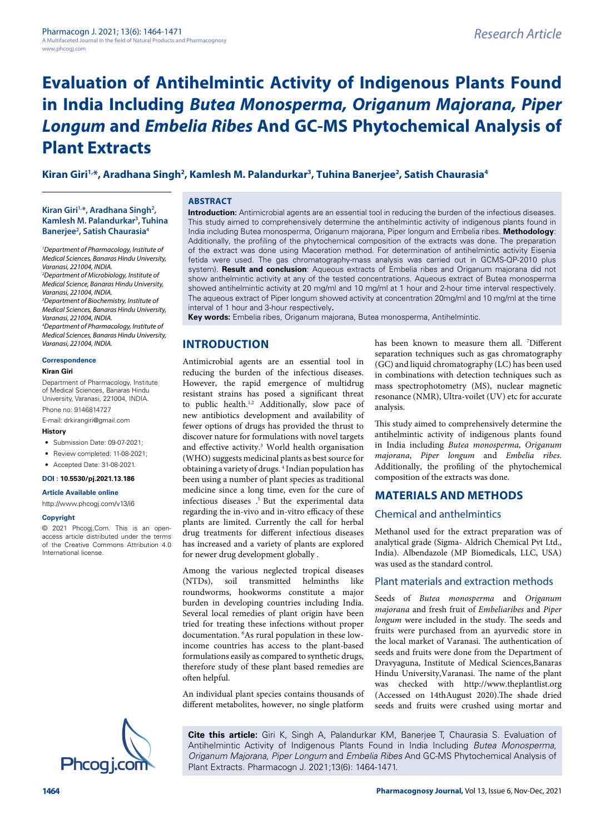# **Kiran Giri1,\*, Aradhana Singh2 , Kamlesh M. Palandurkar3 , Tuhina Banerjee2 , Satish Chaurasia4**

**Kiran Giri1,\*, Aradhana Singh2 , Kamlesh M. Palandurkar3 , Tuhina Banerjee2 , Satish Chaurasia4**

*1 Department of Pharmacology, Institute of Medical Sciences, Banaras Hindu University, Varanasi, 221004, INDIA. 2 Department of Microbiology, Institute of* 

*Medical Science, Banaras Hindu University, Varanasi, 221004, INDIA. 3 Department of Biochemistry, Institute of Medical Sciences, Banaras Hindu University,* 

*Varanasi, 221004, INDIA. 4 Department of Pharmacology, Institute of Medical Sciences, Banaras Hindu University, Varanasi, 221004, INDIA.*

#### **Correspondence**

#### **Kiran Giri**

Department of Pharmacology, Institute of Medical Sciences, Banaras Hindu University, Varanasi, 221004, INDIA.

Phone no: 9146814727

E-mail: drkirangiri@gmail.com

#### **History**

- Submission Date: 09-07-2021;
- Review completed: 11-08-2021;
- Accepted Date: 31-08-2021.

#### **DOI : 10.5530/pj.2021.13.186**

#### **Article Available online**

[http://www.phcogj.com/v13/i6](http://www.phcogj.com/v13/i4)

#### **Copyright**

© 2021 Phcogj.Com. This is an openaccess article distributed under the terms of the Creative Commons Attribution 4.0 International license.

#### **ABSTRACT**

**Introduction:** Antimicrobial agents are an essential tool in reducing the burden of the infectious diseases. This study aimed to comprehensively determine the antihelmintic activity of indigenous plants found in India including Butea monosperma, Origanum majorana, Piper longum and Embelia ribes. **Methodology**: Additionally, the profiling of the phytochemical composition of the extracts was done. The preparation of the extract was done using Maceration method. For determination of antihelmintic activity Eisenia fetida were used. The gas chromatography-mass analysis was carried out in GCMS-QP-2010 plus system). **Result and conclusion**: Aqueous extracts of Embelia ribes and Origanum majorana did not show anthelmintic activity at any of the tested concentrations. Aqueous extract of Butea monosperma showed antihelmintic activity at 20 mg/ml and 10 mg/ml at 1 hour and 2-hour time interval respectively. The aqueous extract of Piper longum showed activity at concentration 20mg/ml and 10 mg/ml at the time interval of 1 hour and 3-hour respectively**.** 

**Key words:** Embelia ribes, Origanum majorana, Butea monosperma, Antihelmintic.

# **INTRODUCTION**

Antimicrobial agents are an essential tool in reducing the burden of the infectious diseases. However, the rapid emergence of multidrug resistant strains has posed a significant threat to public health.<sup>1,2</sup> Additionally, slow pace of new antibiotics development and availability of fewer options of drugs has provided the thrust to discover nature for formulations with novel targets and effective activity.<sup>3</sup> World health organisation (WHO) suggests medicinal plants as best source for obtaining a variety of drugs. 4 Indian population has been using a number of plant species as traditional medicine since a long time, even for the cure of infectious diseases .5 But the experimental data regarding the in-vivo and in-vitro efficacy of these plants are limited. Currently the call for herbal drug treatments for different infectious diseases has increased and a variety of plants are explored for newer drug development globally .

Among the various neglected tropical diseases (NTDs), soil transmitted helminths like roundworms, hookworms constitute a major burden in developing countries including India. Several local remedies of plant origin have been tried for treating these infections without proper documentation. 6 As rural population in these lowincome countries has access to the plant-based formulations easily as compared to synthetic drugs, therefore study of these plant based remedies are often helpful.

An individual plant species contains thousands of different metabolites, however, no single platform

has been known to measure them all. 7 Different separation techniques such as gas chromatography (GC) and liquid chromatography (LC) has been used in combinations with detection techniques such as mass spectrophotometry (MS), nuclear magnetic resonance (NMR), Ultra-voilet (UV) etc for accurate analysis.

This study aimed to comprehensively determine the antihelmintic activity of indigenous plants found in India including *Butea monosperma*, *Origanum majorana*, *Piper longum* and *Embelia ribes*. Additionally, the profiling of the phytochemical composition of the extracts was done.

#### **MATERIALS AND METHODS**

#### Chemical and anthelmintics

Methanol used for the extract preparation was of analytical grade (Sigma- Aldrich Chemical Pvt Ltd., India). Albendazole (MP Biomedicals, LLC, USA) was used as the standard control.

#### Plant materials and extraction methods

Seeds of *Butea monosperma* and *Origanum majorana* and fresh fruit of *Embeliaribes* and *Piper longum* were included in the study. The seeds and fruits were purchased from an ayurvedic store in the local market of Varanasi. The authentication of seeds and fruits were done from the Department of Dravyaguna, Institute of Medical Sciences,Banaras Hindu University,Varanasi. The name of the plant was checked with http://www.theplantlist.org (Accessed on 14thAugust 2020).The shade dried seeds and fruits were crushed using mortar and

**Cite this article:** Giri K, Singh A, Palandurkar KM, Banerjee T, Chaurasia S. Evaluation of Antihelmintic Activity of Indigenous Plants Found in India Including *Butea Monosperma, Origanum Majorana, Piper Longum* and *Embelia Ribes* And GC-MS Phytochemical Analysis of Plant Extracts. Pharmacogn J. 2021;13(6): 1464-1471.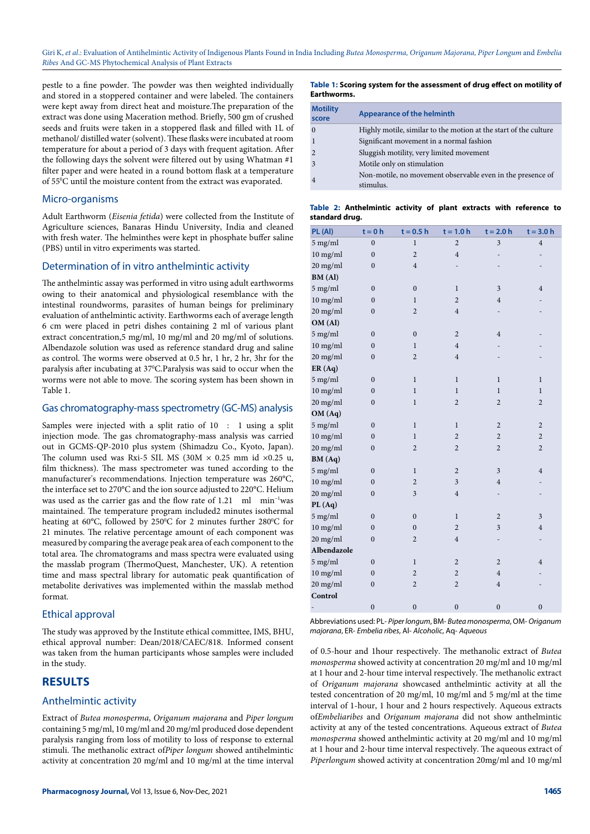pestle to a fine powder. The powder was then weighted individually and stored in a stoppered container and were labeled. The containers were kept away from direct heat and moisture.The preparation of the extract was done using Maceration method. Briefly, 500 gm of crushed seeds and fruits were taken in a stoppered flask and filled with 1L of methanol/ distilled water (solvent). These flasks were incubated at room temperature for about a period of 3 days with frequent agitation. After the following days the solvent were filtered out by using Whatman #1 filter paper and were heated in a round bottom flask at a temperature of 55°C until the moisture content from the extract was evaporated.

#### Micro-organisms

Adult Earthworm (*Eisenia fetida*) were collected from the Institute of Agriculture sciences, Banaras Hindu University, India and cleaned with fresh water. The helminthes were kept in phosphate buffer saline (PBS) until in vitro experiments was started.

#### Determination of in vitro anthelmintic activity

The anthelmintic assay was performed in vitro using adult earthworms owing to their anatomical and physiological resemblance with the intestinal roundworms, parasites of human beings for preliminary evaluation of anthelmintic activity. Earthworms each of average length 6 cm were placed in petri dishes containing 2 ml of various plant extract concentration,5 mg/ml, 10 mg/ml and 20 mg/ml of solutions. Albendazole solution was used as reference standard drug and saline as control. The worms were observed at 0.5 hr, 1 hr, 2 hr, 3hr for the paralysis after incubating at 370 C.Paralysis was said to occur when the worms were not able to move. The scoring system has been shown in Table 1.

#### Gas chromatography-mass spectrometry (GC-MS) analysis

Samples were injected with a split ratio of 10 : 1 using a split injection mode. The gas chromatography-mass analysis was carried out in GCMS-QP-2010 plus system (Shimadzu Co., Kyoto, Japan). The column used was Rxi-5 SIL MS (30M  $\times$  0.25 mm id  $\times$ 0.25 u, film thickness). The mass spectrometer was tuned according to the manufacturer's recommendations. Injection temperature was 260°C, the interface set to 270°C and the ion source adjusted to 220°C. Helium was used as the carrier gas and the flow rate of 1.21 ml min−1was maintained. The temperature program included2 minutes isothermal heating at 60°C, followed by 250°C for 2 minutes further 280°C for 21 minutes. The relative percentage amount of each component was measured by comparing the average peak area of each component to the total area. The chromatograms and mass spectra were evaluated using the masslab program (ThermoQuest, Manchester, UK). A retention time and mass spectral library for automatic peak quantification of metabolite derivatives was implemented within the masslab method format.

#### Ethical approval

The study was approved by the Institute ethical committee, IMS, BHU, ethical approval number: Dean/2018/CAEC/818. Informed consent was taken from the human participants whose samples were included in the study.

#### **RESULTS**

#### Anthelmintic activity

Extract of *Butea monosperma*, *Origanum majorana* and *Piper longum* containing 5 mg/ml, 10 mg/ml and 20 mg/ml produced dose dependent paralysis ranging from loss of motility to loss of response to external stimuli. The methanolic extract of*Piper longum* showed antihelmintic activity at concentration 20 mg/ml and 10 mg/ml at the time interval

#### **Table 1: Scoring system for the assessment of drug effect on motility of Earthworms.**

| <b>Motility</b><br>score | Appearance of the helminth                                              |
|--------------------------|-------------------------------------------------------------------------|
|                          | Highly motile, similar to the motion at the start of the culture        |
|                          | Significant movement in a normal fashion                                |
|                          | Sluggish motility, very limited movement                                |
|                          | Motile only on stimulation                                              |
|                          | Non-motile, no movement observable even in the presence of<br>stimulus. |

#### **Table 2: Anthelmintic activity of plant extracts with reference to standard drug.**

| PL(Al)              | $t = 0 h$        | $t = 0.5 h$      | $t = 1.0 h$    | $t = 2.0 h$              | $t = 3.0 h$      |
|---------------------|------------------|------------------|----------------|--------------------------|------------------|
| 5 mg/ml             | $\overline{0}$   | $\mathbf{1}$     | $\overline{c}$ | $\overline{\mathbf{3}}$  | $\overline{4}$   |
| $10$ mg/ml          | $\mathbf{0}$     | $\overline{c}$   | $\overline{4}$ | -                        | -                |
| 20 mg/ml            | $\mathbf{0}$     | $\overline{4}$   |                |                          |                  |
| BM (Al)             |                  |                  |                |                          |                  |
| 5 mg/ml             | $\boldsymbol{0}$ | $\mathbf{0}$     | $\mathbf{1}$   | 3                        | $\overline{4}$   |
| $10$ mg/ml          | $\mathbf{0}$     | $\mathbf{1}$     | $\overline{2}$ | $\overline{4}$           |                  |
| 20 mg/ml            | $\mathbf{0}$     | $\overline{c}$   | $\overline{4}$ |                          |                  |
| OM (Al)             |                  |                  |                |                          |                  |
| 5 mg/ml             | $\mathbf{0}$     | $\boldsymbol{0}$ | $\overline{2}$ | $\overline{4}$           |                  |
| $10$ mg/ml          | $\mathbf{0}$     | 1                | $\overline{4}$ |                          |                  |
| 20 mg/ml            | $\boldsymbol{0}$ | $\overline{c}$   | $\overline{4}$ |                          |                  |
| ER(Aq)              |                  |                  |                |                          |                  |
| 5 mg/ml             | $\boldsymbol{0}$ | $\mathbf{1}$     | $\mathbf{1}$   | $\mathbf{1}$             | $\mathbf{1}$     |
| $10$ mg/ml          | $\boldsymbol{0}$ | $\mathbf{1}$     | $\bf{l}$       | $\,1$                    | $\bf{l}$         |
| 20 mg/ml            | $\boldsymbol{0}$ | $\mathbf{1}$     | $\overline{2}$ | $\overline{2}$           | $\overline{2}$   |
| OM (Aq)             |                  |                  |                |                          |                  |
| $5$ mg/ml           | $\boldsymbol{0}$ | $\mathbf 1$      | $\mathbf{1}$   | $\mathbf{2}$             | $\boldsymbol{2}$ |
| $10$ mg/ml          | $\mathbf{0}$     | $\mathbf{1}$     | $\sqrt{2}$     | $\overline{c}$           | $\boldsymbol{2}$ |
| $20$ mg/ml          | $\boldsymbol{0}$ | $\overline{2}$   | $\overline{c}$ | $\overline{c}$           | $\sqrt{2}$       |
| BM (Aq)             |                  |                  |                |                          |                  |
| 5 mg/ml             | $\boldsymbol{0}$ | $\,1$            | $\sqrt{2}$     | 3                        | $\overline{4}$   |
| 10 mg/ml            | $\boldsymbol{0}$ | $\overline{2}$   | $\overline{3}$ | $\overline{4}$           |                  |
| 20 mg/ml            | $\mathbf{0}$     | 3                | $\overline{4}$ | $\overline{\phantom{0}}$ |                  |
| PL(Aq)              |                  |                  |                |                          |                  |
| 5 mg/ml             | $\boldsymbol{0}$ | $\boldsymbol{0}$ | $\mathbf{1}$   | $\overline{c}$           | 3                |
| $10$ mg/ml          | $\mathbf{0}$     | $\boldsymbol{0}$ | $\overline{c}$ | 3                        | $\overline{4}$   |
| $20$ mg/ml          | $\mathbf{0}$     | $\overline{2}$   | $\overline{4}$ | $\overline{a}$           |                  |
| Albendazole         |                  |                  |                |                          |                  |
| $5 \mathrm{~mg/ml}$ | $\boldsymbol{0}$ | $\,1$            | $\overline{2}$ | $\overline{c}$           | $\overline{4}$   |
| $10$ mg/ml          | $\boldsymbol{0}$ | $\overline{2}$   | $\overline{2}$ | $\overline{4}$           |                  |
| 20 mg/ml            | $\mathbf{0}$     | $\overline{c}$   | $\overline{2}$ | $\overline{4}$           |                  |
| Control             |                  |                  |                |                          |                  |
|                     | $\mathbf{0}$     | $\mathbf{0}$     | $\mathbf{0}$   | $\mathbf{0}$             | $\mathbf{0}$     |

Abbreviations used: PL- *Piper longum*, BM- *Butea monosperma*, OM- *Origanum majorana*, ER- *Embelia ribes*, Al- *Alcoholic*, Aq- *Aqueous*

of 0.5-hour and 1hour respectively. The methanolic extract of *Butea monosperma* showed activity at concentration 20 mg/ml and 10 mg/ml at 1 hour and 2-hour time interval respectively. The methanolic extract of *Origanum majorana* showcased anthelmintic activity at all the tested concentration of 20 mg/ml, 10 mg/ml and 5 mg/ml at the time interval of 1-hour, 1 hour and 2 hours respectively. Aqueous extracts of*Embeliaribes* and *Origanum majorana* did not show anthelmintic activity at any of the tested concentrations. Aqueous extract of *Butea monosperma* showed anthelmintic activity at 20 mg/ml and 10 mg/ml at 1 hour and 2-hour time interval respectively. The aqueous extract of *Piperlongum* showed activity at concentration 20mg/ml and 10 mg/ml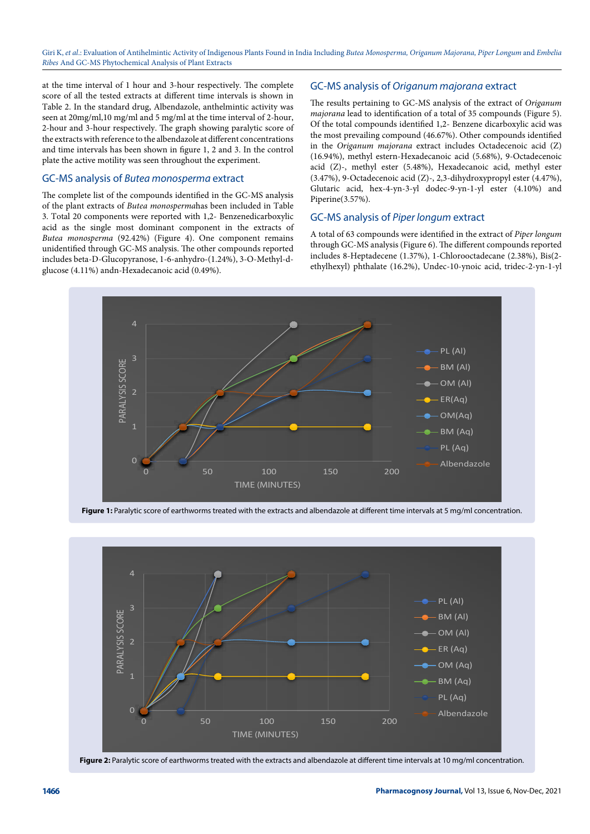at the time interval of 1 hour and 3-hour respectively. The complete score of all the tested extracts at different time intervals is shown in Table 2. In the standard drug, Albendazole, anthelmintic activity was seen at 20mg/ml,10 mg/ml and 5 mg/ml at the time interval of 2-hour, 2-hour and 3-hour respectively. The graph showing paralytic score of the extracts with reference to the albendazole at different concentrations and time intervals has been shown in figure 1, 2 and 3. In the control plate the active motility was seen throughout the experiment.

#### GC-MS analysis of *Butea monosperma* extract

The complete list of the compounds identified in the GC-MS analysis of the plant extracts of *Butea monosperma*has been included in Table 3. Total 20 components were reported with 1,2- Benzenedicarboxylic acid as the single most dominant component in the extracts of *Butea monosperma* (92.42%) (Figure 4). One component remains unidentified through GC-MS analysis. The other compounds reported includes beta-D-Glucopyranose, 1-6-anhydro-(1.24%), 3-O-Methyl-dglucose (4.11%) andn-Hexadecanoic acid (0.49%).

#### GC-MS analysis of *Origanum majorana* extract

The results pertaining to GC-MS analysis of the extract of *Origanum majorana* lead to identification of a total of 35 compounds (Figure 5). Of the total compounds identified 1,2- Benzene dicarboxylic acid was the most prevailing compound (46.67%). Other compounds identified in the *Origanum majorana* extract includes Octadecenoic acid (Z) (16.94%), methyl estern-Hexadecanoic acid (5.68%), 9-Octadecenoic acid (Z)-, methyl ester (5.48%), Hexadecanoic acid, methyl ester (3.47%), 9-Octadecenoic acid (Z)-, 2,3-dihydroxypropyl ester (4.47%), Glutaric acid, hex-4-yn-3-yl dodec-9-yn-1-yl ester (4.10%) and Piperine(3.57%).

#### GC-MS analysis of *Piper longum* extract

A total of 63 compounds were identified in the extract of *Piper longum* through GC-MS analysis (Figure 6). The different compounds reported includes 8-Heptadecene (1.37%), 1-Chlorooctadecane (2.38%), Bis(2 ethylhexyl) phthalate (16.2%), Undec-10-ynoic acid, tridec-2-yn-1-yl



Figure 1: Paralytic score of earthworms treated with the extracts and albendazole at different time intervals at 5 mg/ml concentration.



Figure 2: Paralytic score of earthworms treated with the extracts and albendazole at different time intervals at 10 mg/ml concentration.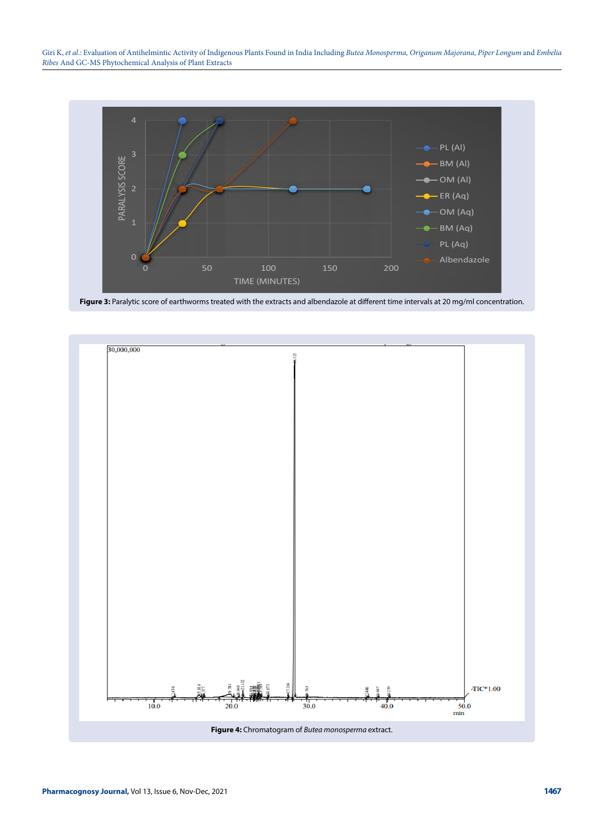

Figure 3: Paralytic score of earthworms treated with the extracts and albendazole at different time intervals at 20 mg/ml concentration.

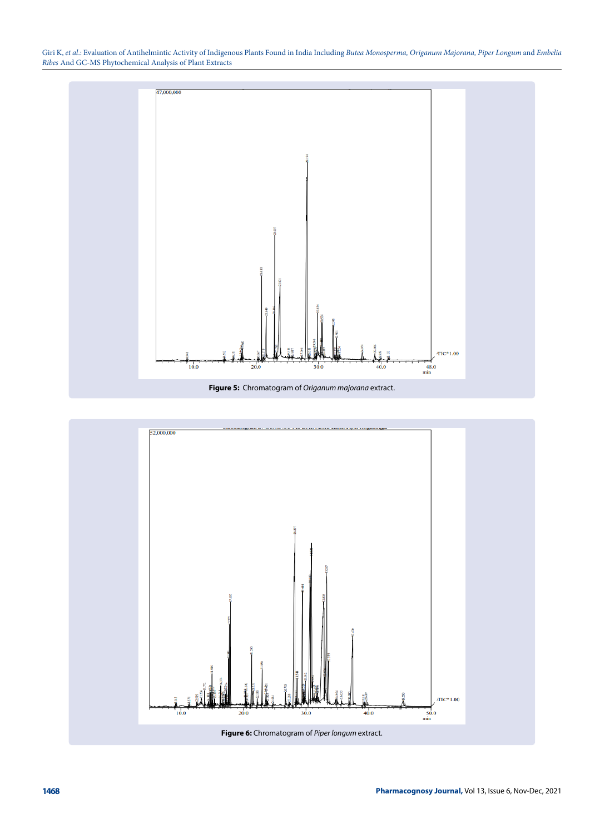

**Figure 5:** Chromatogram of *Origanum majorana* extract.

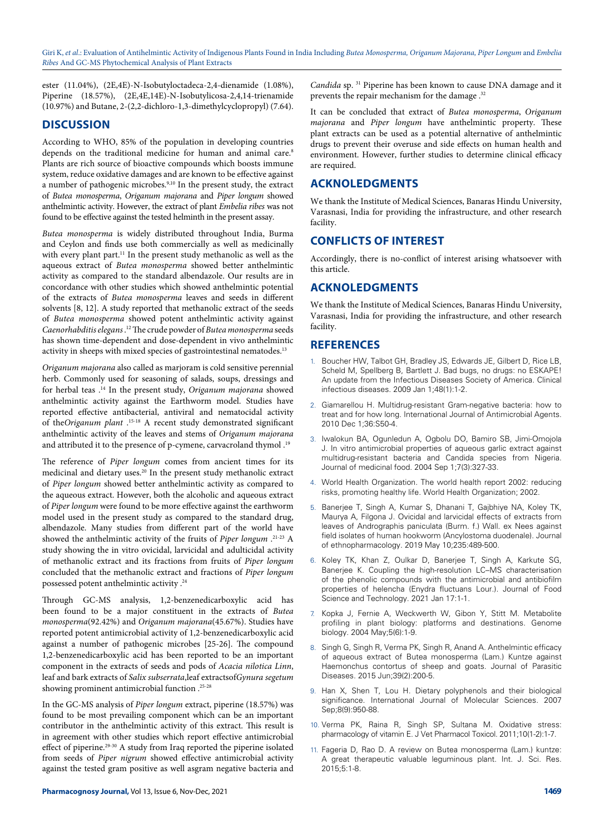ester (11.04%), (2E,4E)-N-Isobutyloctadeca-2,4-dienamide (1.08%), Piperine (18.57%), (2E,4E,14E)-N-Isobutylicosa-2,4,14-trienamide (10.97%) and Butane, 2-(2,2-dichloro-1,3-dimethylcyclopropyl) (7.64).

# **DISCUSSION**

According to WHO, 85% of the population in developing countries depends on the traditional medicine for human and animal care.<sup>8</sup> Plants are rich source of bioactive compounds which boosts immune system, reduce oxidative damages and are known to be effective against a number of pathogenic microbes.9,10 In the present study, the extract of *Butea monosperma*, *Origanum majorana* and *Piper longum* showed anthelmintic activity. However, the extract of plant *Embelia ribes* was not found to be effective against the tested helminth in the present assay.

*Butea monosperma* is widely distributed throughout India, Burma and Ceylon and finds use both commercially as well as medicinally with every plant part.<sup>11</sup> In the present study methanolic as well as the aqueous extract of *Butea monosperma* showed better anthelmintic activity as compared to the standard albendazole. Our results are in concordance with other studies which showed anthelmintic potential of the extracts of *Butea monosperma* leaves and seeds in different solvents [8, 12]. A study reported that methanolic extract of the seeds of *Butea monosperma* showed potent anthelmintic activity against *Caenorhabditis elegans* .12 The crude powder of *Butea monosperma* seeds has shown time-dependent and dose-dependent in vivo anthelmintic activity in sheeps with mixed species of gastrointestinal nematodes.<sup>13</sup>

*Origanum majorana* also called as marjoram is cold sensitive perennial herb. Commonly used for seasoning of salads, soups, dressings and for herbal teas .14 In the present study, *Origanum majorana* showed anthelmintic activity against the Earthworm model. Studies have reported effective antibacterial, antiviral and nematocidal activity of the*Origanum plant* .15-18 A recent study demonstrated significant anthelmintic activity of the leaves and stems of *Origanum majorana* and attributed it to the presence of p-cymene, carvacroland thymol.<sup>19</sup>

The reference of *Piper longum* comes from ancient times for its medicinal and dietary uses.20 In the present study methanolic extract of *Piper longum* showed better anthelmintic activity as compared to the aqueous extract. However, both the alcoholic and aqueous extract of *Piper longum* were found to be more effective against the earthworm model used in the present study as compared to the standard drug, albendazole. Many studies from different part of the world have showed the anthelmintic activity of the fruits of *Piper longum* .21-23 A study showing the in vitro ovicidal, larvicidal and adulticidal activity of methanolic extract and its fractions from fruits of *Piper longum* concluded that the methanolic extract and fractions of *Piper longum* possessed potent anthelmintic activity .24

Through GC-MS analysis, 1,2-benzenedicarboxylic acid has been found to be a major constituent in the extracts of *Butea monosperma*(92.42%) and *Origanum majorana*(45.67%). Studies have reported potent antimicrobial activity of 1,2-benzenedicarboxylic acid against a number of pathogenic microbes [25-26]. The compound 1,2-benzenedicarboxylic acid has been reported to be an important component in the extracts of seeds and pods of *Acacia nilotica Linn*, leaf and bark extracts of *Salix subserrata*,leaf extractsof*Gynura segetum* showing prominent antimicrobial function .<sup>25-28</sup>

In the GC-MS analysis of *Piper longum* extract, piperine (18.57%) was found to be most prevailing component which can be an important contributor in the anthelmintic activity of this extract. This result is in agreement with other studies which report effective antimicrobial effect of piperine.29-30 A study from Iraq reported the piperine isolated from seeds of *Piper nigrum* showed effective antimicrobial activity against the tested gram positive as well asgram negative bacteria and *Candida* sp. 31 Piperine has been known to cause DNA damage and it prevents the repair mechanism for the damage.<sup>32</sup>

It can be concluded that extract of *Butea monosperma*, *Origanum majorana* and *Piper longum* have anthelmintic property. These plant extracts can be used as a potential alternative of anthelmintic drugs to prevent their overuse and side effects on human health and environment. However, further studies to determine clinical efficacy are required.

# **ACKNOLEDGMENTS**

We thank the Institute of Medical Sciences, Banaras Hindu University, Varasnasi, India for providing the infrastructure, and other research facility.

# **CONFLICTS OF INTEREST**

Accordingly, there is no-conflict of interest arising whatsoever with this article.

# **ACKNOLEDGMENTS**

We thank the Institute of Medical Sciences, Banaras Hindu University, Varasnasi, India for providing the infrastructure, and other research facility.

# **REFERENCES**

- Boucher HW, Talbot GH, Bradley JS, Edwards JE, Gilbert D, Rice LB, Scheld M, Spellberg B, Bartlett J. Bad bugs, no drugs: no ESKAPE! An update from the Infectious Diseases Society of America. Clinical infectious diseases. 2009 Jan 1;48(1):1-2.
- 2. Giamarellou H. Multidrug-resistant Gram-negative bacteria: how to treat and for how long. International Journal of Antimicrobial Agents. 2010 Dec 1;36:S50-4.
- 3. Iwalokun BA, Ogunledun A, Ogbolu DO, Bamiro SB, Jimi-Omojola J. In vitro antimicrobial properties of aqueous garlic extract against multidrug-resistant bacteria and Candida species from Nigeria. Journal of medicinal food. 2004 Sep 1;7(3):327-33.
- 4. World Health Organization. The world health report 2002: reducing risks, promoting healthy life. World Health Organization; 2002.
- 5. Banerjee T, Singh A, Kumar S, Dhanani T, Gajbhiye NA, Koley TK, Maurya A, Filgona J. Ovicidal and larvicidal effects of extracts from leaves of Andrographis paniculata (Burm. f.) Wall. ex Nees against field isolates of human hookworm (Ancylostoma duodenale). Journal of ethnopharmacology. 2019 May 10;235:489-500.
- 6. Koley TK, Khan Z, Oulkar D, Banerjee T, Singh A, Karkute SG, Banerjee K. Coupling the high-resolution LC–MS characterisation of the phenolic compounds with the antimicrobial and antibiofilm properties of helencha (Enydra fluctuans Lour.). Journal of Food Science and Technology. 2021 Jan 17:1-1.
- 7. Kopka J, Fernie A, Weckwerth W, Gibon Y, Stitt M. Metabolite profiling in plant biology: platforms and destinations. Genome biology. 2004 May;5(6):1-9.
- 8. Singh G, Singh R, Verma PK, Singh R, Anand A. Anthelmintic efficacy of aqueous extract of Butea monosperma (Lam.) Kuntze against Haemonchus contortus of sheep and goats. Journal of Parasitic Diseases. 2015 Jun;39(2):200-5.
- 9. Han X, Shen T, Lou H. Dietary polyphenols and their biological significance. International Journal of Molecular Sciences. 2007 Sep;8(9):950-88.
- 10. Verma PK, Raina R, Singh SP, Sultana M. Oxidative stress: pharmacology of vitamin E. J Vet Pharmacol Toxicol. 2011;10(1-2):1-7.
- 11. Fageria D, Rao D. A review on Butea monosperma (Lam.) kuntze: A great therapeutic valuable leguminous plant. Int. J. Sci. Res. 2015;5:1-8.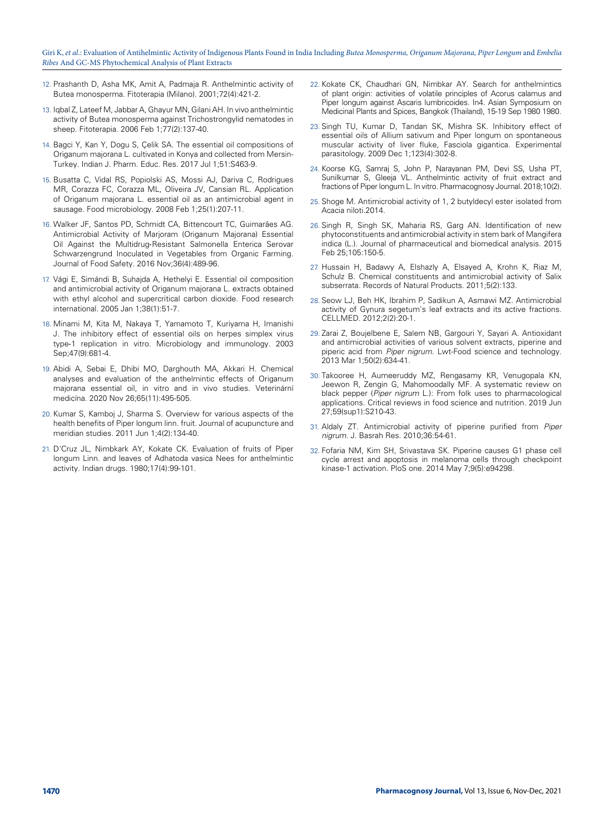- 12. Prashanth D, Asha MK, Amit A, Padmaja R. Anthelmintic activity of Butea monosperma. Fitoterapia (Milano). 2001;72(4):421-2.
- 13. Iqbal Z, Lateef M, Jabbar A, Ghayur MN, Gilani AH. In vivo anthelmintic activity of Butea monosperma against Trichostrongylid nematodes in sheep. Fitoterapia. 2006 Feb 1;77(2):137-40.
- 14. Bagci Y, Kan Y, Dogu S, Çelik SA. The essential oil compositions of Origanum majorana L. cultivated in Konya and collected from Mersin-Turkey. Indian J. Pharm. Educ. Res. 2017 Jul 1;51:S463-9.
- 15. Busatta C, Vidal RS, Popiolski AS, Mossi AJ, Dariva C, Rodrigues MR, Corazza FC, Corazza ML, Oliveira JV, Cansian RL. Application of Origanum majorana L. essential oil as an antimicrobial agent in sausage. Food microbiology. 2008 Feb 1;25(1):207-11.
- 16. Walker JF, Santos PD, Schmidt CA, Bittencourt TC, Guimarães AG. Antimicrobial Activity of Marjoram (Origanum Majorana) Essential Oil Against the Multidrug‐Resistant Salmonella Enterica Serovar Schwarzengrund Inoculated in Vegetables from Organic Farming. Journal of Food Safety. 2016 Nov;36(4):489-96.
- 17. Vági E, Simándi B, Suhajda A, Hethelyi E. Essential oil composition and antimicrobial activity of Origanum majorana L. extracts obtained with ethyl alcohol and supercritical carbon dioxide. Food research international. 2005 Jan 1;38(1):51-7.
- 18. Minami M, Kita M, Nakaya T, Yamamoto T, Kuriyama H, Imanishi J. The inhibitory effect of essential oils on herpes simplex virus type‐1 replication in vitro. Microbiology and immunology. 2003 Sep;47(9):681-4.
- 19. Abidi A, Sebai E, Dhibi MO, Darghouth MA, Akkari H. Chemical analyses and evaluation of the anthelmintic effects of Origanum majorana essential oil, in vitro and in vivo studies. Veterinární medicína. 2020 Nov 26;65(11):495-505.
- 20. Kumar S, Kamboj J, Sharma S. Overview for various aspects of the health benefits of Piper longum linn. fruit. Journal of acupuncture and meridian studies. 2011 Jun 1;4(2):134-40.
- 21. D'Cruz JL, Nimbkark AY, Kokate CK. Evaluation of fruits of Piper longum Linn. and leaves of Adhatoda vasica Nees for anthelmintic activity. Indian drugs. 1980;17(4):99-101.
- 22. Kokate CK, Chaudhari GN, Nimbkar AY. Search for anthelmintics of plant origin: activities of volatile principles of Acorus calamus and Piper longum against Ascaris lumbricoides. In4. Asian Symposium on Medicinal Plants and Spices, Bangkok (Thailand), 15-19 Sep 1980 1980.
- 23. Singh TU, Kumar D, Tandan SK, Mishra SK. Inhibitory effect of essential oils of Allium sativum and Piper longum on spontaneous muscular activity of liver fluke, Fasciola gigantica. Experimental parasitology. 2009 Dec 1;123(4):302-8.
- 24. Koorse KG, Samraj S, John P, Narayanan PM, Devi SS, Usha PT, Sunilkumar S, Gleeja VL. Anthelmintic activity of fruit extract and fractions of Piper longum L. In vitro. Pharmacognosy Journal. 2018;10(2).
- 25. Shoge M. Antimicrobial activity of 1, 2 butyldecyl ester isolated from Acacia niloti.2014.
- 26. Singh R, Singh SK, Maharia RS, Garg AN. Identification of new phytoconstituents and antimicrobial activity in stem bark of Mangifera indica (L.). Journal of pharmaceutical and biomedical analysis. 2015 Feb 25;105:150-5.
- 27. Hussain H, Badawy A, Elshazly A, Elsayed A, Krohn K, Riaz M, Schulz B. Chemical constituents and antimicrobial activity of Salix subserrata. Records of Natural Products. 2011;5(2):133.
- 28. Seow LJ, Beh HK, Ibrahim P, Sadikun A, Asmawi MZ. Antimicrobial activity of Gynura segetum's leaf extracts and its active fractions. CELLMED. 2012;2(2):20-1.
- 29. Zarai Z, Boujelbene E, Salem NB, Gargouri Y, Sayari A. Antioxidant and antimicrobial activities of various solvent extracts, piperine and piperic acid from *Piper nigrum*. Lwt-Food science and technology. 2013 Mar 1;50(2):634-41.
- 30. Takooree H, Aumeeruddy MZ, Rengasamy KR, Venugopala KN, Jeewon R, Zengin G, Mahomoodally MF. A systematic review on black pepper (*Piper nigrum* L.): From folk uses to pharmacological applications. Critical reviews in food science and nutrition. 2019 Jun 27;59(sup1):S210-43.
- 31. Aldaly ZT. Antimicrobial activity of piperine purified from *Piper nigrum*. J. Basrah Res. 2010;36:54-61.
- 32. Fofaria NM, Kim SH, Srivastava SK. Piperine causes G1 phase cell cycle arrest and apoptosis in melanoma cells through checkpoint kinase-1 activation. PloS one. 2014 May 7;9(5):e94298.